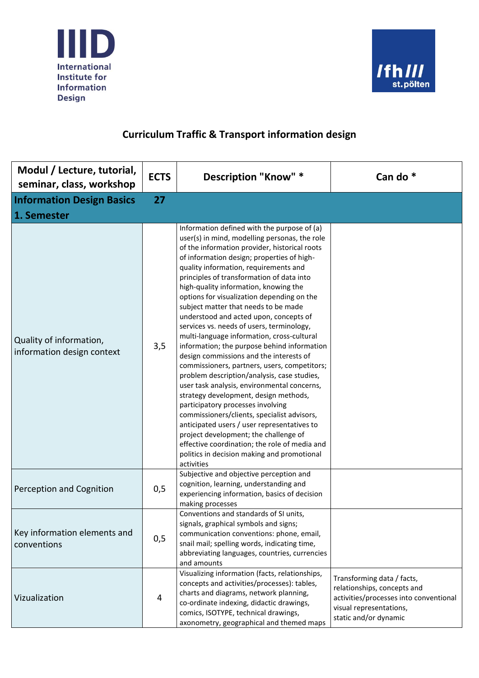



| Modul / Lecture, tutorial,<br>seminar, class, workshop | <b>ECTS</b> | Description "Know" *                                                                                                                                                                                                                                                                                                                                                                                                                                                                                                                                                                                                                                                                                                                                                                                                                                                                                                                                                                                                                                                                                                             | Can do <sup>*</sup>                                                                                                                                     |
|--------------------------------------------------------|-------------|----------------------------------------------------------------------------------------------------------------------------------------------------------------------------------------------------------------------------------------------------------------------------------------------------------------------------------------------------------------------------------------------------------------------------------------------------------------------------------------------------------------------------------------------------------------------------------------------------------------------------------------------------------------------------------------------------------------------------------------------------------------------------------------------------------------------------------------------------------------------------------------------------------------------------------------------------------------------------------------------------------------------------------------------------------------------------------------------------------------------------------|---------------------------------------------------------------------------------------------------------------------------------------------------------|
| <b>Information Design Basics</b>                       | 27          |                                                                                                                                                                                                                                                                                                                                                                                                                                                                                                                                                                                                                                                                                                                                                                                                                                                                                                                                                                                                                                                                                                                                  |                                                                                                                                                         |
| 1. Semester                                            |             |                                                                                                                                                                                                                                                                                                                                                                                                                                                                                                                                                                                                                                                                                                                                                                                                                                                                                                                                                                                                                                                                                                                                  |                                                                                                                                                         |
| Quality of information,<br>information design context  | 3,5         | Information defined with the purpose of (a)<br>user(s) in mind, modelling personas, the role<br>of the information provider, historical roots<br>of information design; properties of high-<br>quality information, requirements and<br>principles of transformation of data into<br>high-quality information, knowing the<br>options for visualization depending on the<br>subject matter that needs to be made<br>understood and acted upon, concepts of<br>services vs. needs of users, terminology,<br>multi-language information, cross-cultural<br>information; the purpose behind information<br>design commissions and the interests of<br>commissioners, partners, users, competitors;<br>problem description/analysis, case studies,<br>user task analysis, environmental concerns,<br>strategy development, design methods,<br>participatory processes involving<br>commissioners/clients, specialist advisors,<br>anticipated users / user representatives to<br>project development; the challenge of<br>effective coordination; the role of media and<br>politics in decision making and promotional<br>activities |                                                                                                                                                         |
| Perception and Cognition                               | 0,5         | Subjective and objective perception and<br>cognition, learning, understanding and<br>experiencing information, basics of decision<br>making processes                                                                                                                                                                                                                                                                                                                                                                                                                                                                                                                                                                                                                                                                                                                                                                                                                                                                                                                                                                            |                                                                                                                                                         |
| Key information elements and<br>conventions            | 0,5         | Conventions and standards of SI units,<br>signals, graphical symbols and signs;<br>communication conventions: phone, email,<br>snail mail; spelling words, indicating time,<br>abbreviating languages, countries, currencies<br>and amounts                                                                                                                                                                                                                                                                                                                                                                                                                                                                                                                                                                                                                                                                                                                                                                                                                                                                                      |                                                                                                                                                         |
| Vizualization                                          | 4           | Visualizing information (facts, relationships,<br>concepts and activities/processes): tables,<br>charts and diagrams, network planning,<br>co-ordinate indexing, didactic drawings,<br>comics, ISOTYPE, technical drawings,<br>axonometry, geographical and themed maps                                                                                                                                                                                                                                                                                                                                                                                                                                                                                                                                                                                                                                                                                                                                                                                                                                                          | Transforming data / facts,<br>relationships, concepts and<br>activities/processes into conventional<br>visual representations,<br>static and/or dynamic |

## **Curriculum Traffic & Transport information design**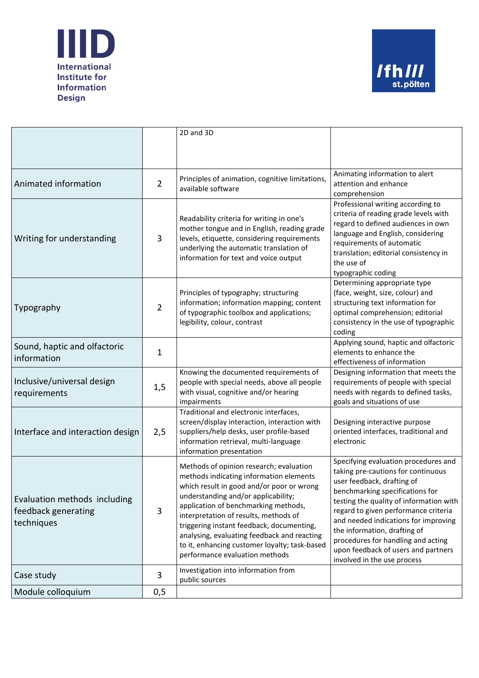



|                                                                   |                | 2D and 3D                                                                                                                                                                                                                                                                                                                                                                                                                              |                                                                                                                                                                                                                                                                                                                                                                                                                    |
|-------------------------------------------------------------------|----------------|----------------------------------------------------------------------------------------------------------------------------------------------------------------------------------------------------------------------------------------------------------------------------------------------------------------------------------------------------------------------------------------------------------------------------------------|--------------------------------------------------------------------------------------------------------------------------------------------------------------------------------------------------------------------------------------------------------------------------------------------------------------------------------------------------------------------------------------------------------------------|
|                                                                   |                |                                                                                                                                                                                                                                                                                                                                                                                                                                        |                                                                                                                                                                                                                                                                                                                                                                                                                    |
|                                                                   |                |                                                                                                                                                                                                                                                                                                                                                                                                                                        | Animating information to alert                                                                                                                                                                                                                                                                                                                                                                                     |
| Animated information                                              | $\overline{2}$ | Principles of animation, cognitive limitations,<br>available software                                                                                                                                                                                                                                                                                                                                                                  | attention and enhance<br>comprehension                                                                                                                                                                                                                                                                                                                                                                             |
| Writing for understanding                                         | 3              | Readability criteria for writing in one's<br>mother tongue and in English, reading grade<br>levels, etiquette, considering requirements<br>underlying the automatic translation of<br>information for text and voice output                                                                                                                                                                                                            | Professional writing according to<br>criteria of reading grade levels with<br>regard to defined audiences in own<br>language and English, considering<br>requirements of automatic<br>translation; editorial consistency in<br>the use of<br>typographic coding                                                                                                                                                    |
| Typography                                                        | $\overline{2}$ | Principles of typography; structuring<br>information; information mapping; content<br>of typographic toolbox and applications;<br>legibility, colour, contrast                                                                                                                                                                                                                                                                         | Determining appropriate type<br>(face, weight, size, colour) and<br>structuring text information for<br>optimal comprehension; editorial<br>consistency in the use of typographic<br>coding                                                                                                                                                                                                                        |
| Sound, haptic and olfactoric<br>information                       | $\mathbf{1}$   |                                                                                                                                                                                                                                                                                                                                                                                                                                        | Applying sound, haptic and olfactoric<br>elements to enhance the<br>effectiveness of information                                                                                                                                                                                                                                                                                                                   |
| Inclusive/universal design<br>requirements                        | 1,5            | Knowing the documented requirements of<br>people with special needs, above all people<br>with visual, cognitive and/or hearing<br>impairments                                                                                                                                                                                                                                                                                          | Designing information that meets the<br>requirements of people with special<br>needs with regards to defined tasks,<br>goals and situations of use                                                                                                                                                                                                                                                                 |
| Interface and interaction design                                  | 2,5            | Traditional and electronic interfaces,<br>screen/display interaction, interaction with<br>suppliers/help desks, user profile-based<br>information retrieval, multi-language<br>information presentation                                                                                                                                                                                                                                | Designing interactive purpose<br>oriented interfaces, traditional and<br>electronic                                                                                                                                                                                                                                                                                                                                |
| Evaluation methods including<br>feedback generating<br>techniques | $\mathbf{3}$   | Methods of opinion research; evaluation<br>methods indicating information elements<br>which result in good and/or poor or wrong<br>understanding and/or applicability;<br>application of benchmarking methods,<br>interpretation of results, methods of<br>triggering instant feedback, documenting,<br>analysing, evaluating feedback and reacting<br>to it, enhancing customer loyalty; task-based<br>performance evaluation methods | Specifying evaluation procedures and<br>taking pre-cautions for continuous<br>user feedback, drafting of<br>benchmarking specifications for<br>testing the quality of information with<br>regard to given performance criteria<br>and needed indications for improving<br>the information, drafting of<br>procedures for handling and acting<br>upon feedback of users and partners<br>involved in the use process |
| Case study                                                        | 3              | Investigation into information from<br>public sources                                                                                                                                                                                                                                                                                                                                                                                  |                                                                                                                                                                                                                                                                                                                                                                                                                    |
| Module colloquium                                                 | 0,5            |                                                                                                                                                                                                                                                                                                                                                                                                                                        |                                                                                                                                                                                                                                                                                                                                                                                                                    |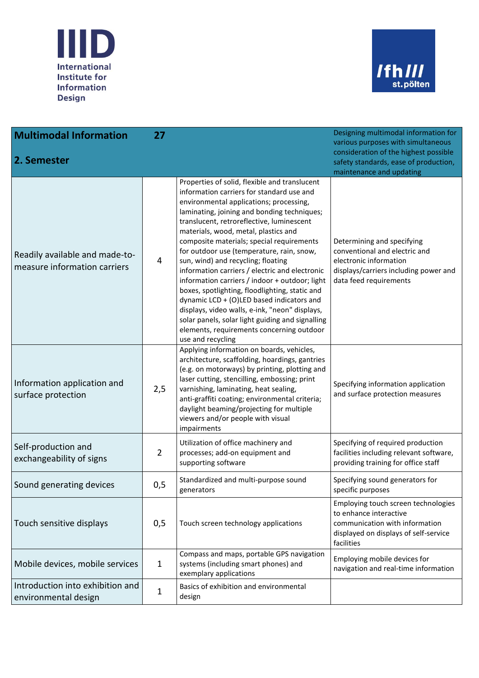



| <b>Multimodal Information</b>                                  | 27             |                                                                                                                                                                                                                                                                                                                                                                                                                                                                                                                                                                                                                                                                                                                                                                                      | Designing multimodal information for<br>various purposes with simultaneous                                                                               |
|----------------------------------------------------------------|----------------|--------------------------------------------------------------------------------------------------------------------------------------------------------------------------------------------------------------------------------------------------------------------------------------------------------------------------------------------------------------------------------------------------------------------------------------------------------------------------------------------------------------------------------------------------------------------------------------------------------------------------------------------------------------------------------------------------------------------------------------------------------------------------------------|----------------------------------------------------------------------------------------------------------------------------------------------------------|
| 2. Semester                                                    |                |                                                                                                                                                                                                                                                                                                                                                                                                                                                                                                                                                                                                                                                                                                                                                                                      | consideration of the highest possible<br>safety standards, ease of production,<br>maintenance and updating                                               |
| Readily available and made-to-<br>measure information carriers | 4              | Properties of solid, flexible and translucent<br>information carriers for standard use and<br>environmental applications; processing,<br>laminating, joining and bonding techniques;<br>translucent, retroreflective, luminescent<br>materials, wood, metal, plastics and<br>composite materials; special requirements<br>for outdoor use (temperature, rain, snow,<br>sun, wind) and recycling; floating<br>information carriers / electric and electronic<br>information carriers / indoor + outdoor; light<br>boxes, spotlighting, floodlighting, static and<br>dynamic LCD + (O)LED based indicators and<br>displays, video walls, e-ink, "neon" displays,<br>solar panels, solar light guiding and signalling<br>elements, requirements concerning outdoor<br>use and recycling | Determining and specifying<br>conventional and electric and<br>electronic information<br>displays/carriers including power and<br>data feed requirements |
| Information application and<br>surface protection              | 2,5            | Applying information on boards, vehicles,<br>architecture, scaffolding, hoardings, gantries<br>(e.g. on motorways) by printing, plotting and<br>laser cutting, stencilling, embossing; print<br>varnishing, laminating, heat sealing,<br>anti-graffiti coating; environmental criteria;<br>daylight beaming/projecting for multiple<br>viewers and/or people with visual<br>impairments                                                                                                                                                                                                                                                                                                                                                                                              | Specifying information application<br>and surface protection measures                                                                                    |
| Self-production and<br>exchangeability of signs                | $\overline{2}$ | Utilization of office machinery and<br>processes; add-on equipment and<br>supporting software                                                                                                                                                                                                                                                                                                                                                                                                                                                                                                                                                                                                                                                                                        | Specifying of required production<br>facilities including relevant software,<br>providing training for office staff                                      |
| Sound generating devices                                       | 0,5            | Standardized and multi-purpose sound<br>generators                                                                                                                                                                                                                                                                                                                                                                                                                                                                                                                                                                                                                                                                                                                                   | Specifying sound generators for<br>specific purposes                                                                                                     |
| Touch sensitive displays                                       | 0,5            | Touch screen technology applications                                                                                                                                                                                                                                                                                                                                                                                                                                                                                                                                                                                                                                                                                                                                                 | Employing touch screen technologies<br>to enhance interactive<br>communication with information<br>displayed on displays of self-service<br>facilities   |
| Mobile devices, mobile services                                | $\mathbf{1}$   | Compass and maps, portable GPS navigation<br>systems (including smart phones) and<br>exemplary applications                                                                                                                                                                                                                                                                                                                                                                                                                                                                                                                                                                                                                                                                          | Employing mobile devices for<br>navigation and real-time information                                                                                     |
| Introduction into exhibition and<br>environmental design       | $\mathbf{1}$   | Basics of exhibition and environmental<br>design                                                                                                                                                                                                                                                                                                                                                                                                                                                                                                                                                                                                                                                                                                                                     |                                                                                                                                                          |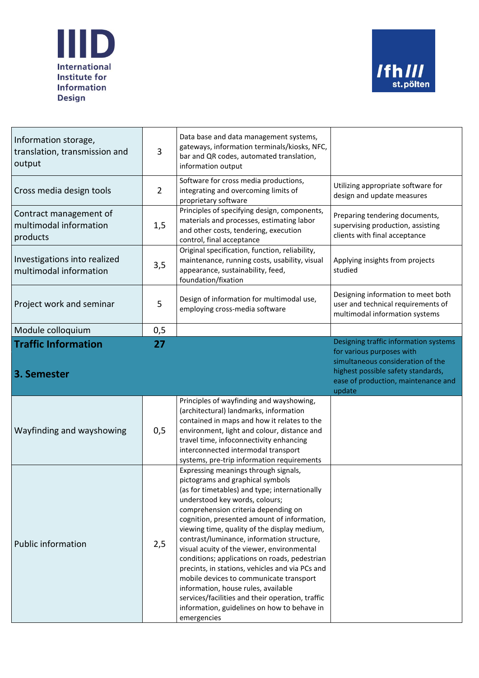



| Information storage,<br>translation, transmission and<br>output | 3              | Data base and data management systems,<br>gateways, information terminals/kiosks, NFC,<br>bar and QR codes, automated translation,<br>information output                                                                                                                                                                                                                                                                                                                                                                                                                                                                                                                               |                                                                                                                                                       |
|-----------------------------------------------------------------|----------------|----------------------------------------------------------------------------------------------------------------------------------------------------------------------------------------------------------------------------------------------------------------------------------------------------------------------------------------------------------------------------------------------------------------------------------------------------------------------------------------------------------------------------------------------------------------------------------------------------------------------------------------------------------------------------------------|-------------------------------------------------------------------------------------------------------------------------------------------------------|
| Cross media design tools                                        | $\overline{2}$ | Software for cross media productions,<br>integrating and overcoming limits of<br>proprietary software                                                                                                                                                                                                                                                                                                                                                                                                                                                                                                                                                                                  | Utilizing appropriate software for<br>design and update measures                                                                                      |
| Contract management of<br>multimodal information<br>products    | 1,5            | Principles of specifying design, components,<br>materials and processes, estimating labor<br>and other costs, tendering, execution<br>control, final acceptance                                                                                                                                                                                                                                                                                                                                                                                                                                                                                                                        | Preparing tendering documents,<br>supervising production, assisting<br>clients with final acceptance                                                  |
| Investigations into realized<br>multimodal information          | 3,5            | Original specification, function, reliability,<br>maintenance, running costs, usability, visual<br>appearance, sustainability, feed,<br>foundation/fixation                                                                                                                                                                                                                                                                                                                                                                                                                                                                                                                            | Applying insights from projects<br>studied                                                                                                            |
| Project work and seminar                                        | 5              | Design of information for multimodal use,<br>employing cross-media software                                                                                                                                                                                                                                                                                                                                                                                                                                                                                                                                                                                                            | Designing information to meet both<br>user and technical requirements of<br>multimodal information systems                                            |
| Module colloquium                                               | 0,5            |                                                                                                                                                                                                                                                                                                                                                                                                                                                                                                                                                                                                                                                                                        |                                                                                                                                                       |
| <b>Traffic Information</b>                                      | 27             |                                                                                                                                                                                                                                                                                                                                                                                                                                                                                                                                                                                                                                                                                        | Designing traffic information systems                                                                                                                 |
| 3. Semester                                                     |                |                                                                                                                                                                                                                                                                                                                                                                                                                                                                                                                                                                                                                                                                                        | for various purposes with<br>simultaneous consideration of the<br>highest possible safety standards,<br>ease of production, maintenance and<br>update |
| Wayfinding and wayshowing                                       | 0,5            | Principles of wayfinding and wayshowing,<br>(architectural) landmarks, information<br>contained in maps and how it relates to the<br>environment, light and colour, distance and<br>travel time, infoconnectivity enhancing<br>interconnected intermodal transport<br>systems, pre-trip information requirements                                                                                                                                                                                                                                                                                                                                                                       |                                                                                                                                                       |
| <b>Public information</b>                                       | 2,5            | Expressing meanings through signals,<br>pictograms and graphical symbols<br>(as for timetables) and type; internationally<br>understood key words, colours;<br>comprehension criteria depending on<br>cognition, presented amount of information,<br>viewing time, quality of the display medium,<br>contrast/luminance, information structure,<br>visual acuity of the viewer, environmental<br>conditions; applications on roads, pedestrian<br>precints, in stations, vehicles and via PCs and<br>mobile devices to communicate transport<br>information, house rules, available<br>services/facilities and their operation, traffic<br>information, guidelines on how to behave in |                                                                                                                                                       |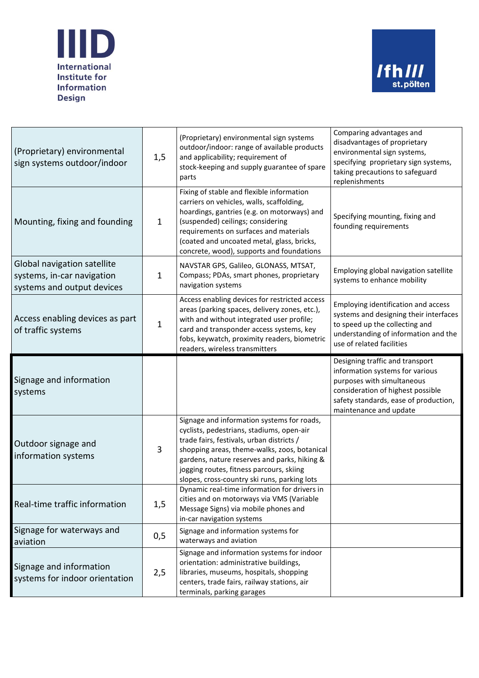



| (Proprietary) environmental<br>sign systems outdoor/indoor                              | 1,5          | (Proprietary) environmental sign systems<br>outdoor/indoor: range of available products<br>and applicability; requirement of<br>stock-keeping and supply guarantee of spare<br>parts                                                                                                                                             | Comparing advantages and<br>disadvantages of proprietary<br>environmental sign systems,<br>specifying proprietary sign systems,<br>taking precautions to safeguard<br>replenishments                     |
|-----------------------------------------------------------------------------------------|--------------|----------------------------------------------------------------------------------------------------------------------------------------------------------------------------------------------------------------------------------------------------------------------------------------------------------------------------------|----------------------------------------------------------------------------------------------------------------------------------------------------------------------------------------------------------|
| Mounting, fixing and founding                                                           | $\mathbf{1}$ | Fixing of stable and flexible information<br>carriers on vehicles, walls, scaffolding,<br>hoardings, gantries (e.g. on motorways) and<br>(suspended) ceilings; considering<br>requirements on surfaces and materials<br>(coated and uncoated metal, glass, bricks,<br>concrete, wood), supports and foundations                  | Specifying mounting, fixing and<br>founding requirements                                                                                                                                                 |
| Global navigation satellite<br>systems, in-car navigation<br>systems and output devices | $\mathbf{1}$ | NAVSTAR GPS, Galileo, GLONASS, MTSAT,<br>Compass; PDAs, smart phones, proprietary<br>navigation systems                                                                                                                                                                                                                          | Employing global navigation satellite<br>systems to enhance mobility                                                                                                                                     |
| Access enabling devices as part<br>of traffic systems                                   | $\mathbf{1}$ | Access enabling devices for restricted access<br>areas (parking spaces, delivery zones, etc.),<br>with and without integrated user profile;<br>card and transponder access systems, key<br>fobs, keywatch, proximity readers, biometric<br>readers, wireless transmitters                                                        | Employing identification and access<br>systems and designing their interfaces<br>to speed up the collecting and<br>understanding of information and the<br>use of related facilities                     |
| Signage and information<br>systems                                                      |              |                                                                                                                                                                                                                                                                                                                                  | Designing traffic and transport<br>information systems for various<br>purposes with simultaneous<br>consideration of highest possible<br>safety standards, ease of production,<br>maintenance and update |
| Outdoor signage and<br>information systems                                              | 3            | Signage and information systems for roads,<br>cyclists, pedestrians, stadiums, open-air<br>trade fairs, festivals, urban districts /<br>shopping areas, theme-walks, zoos, botanical<br>gardens, nature reserves and parks, hiking &<br>jogging routes, fitness parcours, skiing<br>slopes, cross-country ski runs, parking lots |                                                                                                                                                                                                          |
| Real-time traffic information                                                           | 1,5          | Dynamic real-time information for drivers in<br>cities and on motorways via VMS (Variable<br>Message Signs) via mobile phones and<br>in-car navigation systems                                                                                                                                                                   |                                                                                                                                                                                                          |
| Signage for waterways and<br>aviation                                                   | 0,5          | Signage and information systems for<br>waterways and aviation                                                                                                                                                                                                                                                                    |                                                                                                                                                                                                          |
| Signage and information<br>systems for indoor orientation                               | 2,5          | Signage and information systems for indoor<br>orientation: administrative buildings,<br>libraries, museums, hospitals, shopping<br>centers, trade fairs, railway stations, air<br>terminals, parking garages                                                                                                                     |                                                                                                                                                                                                          |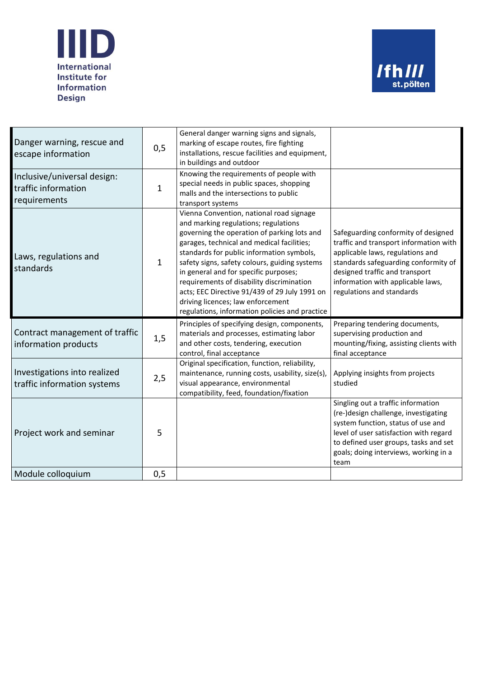



| Danger warning, rescue and<br>escape information                   | 0,5          | General danger warning signs and signals,<br>marking of escape routes, fire fighting<br>installations, rescue facilities and equipment,<br>in buildings and outdoor                                                                                                                                                                                                                                                                                                                                       |                                                                                                                                                                                                                                                               |
|--------------------------------------------------------------------|--------------|-----------------------------------------------------------------------------------------------------------------------------------------------------------------------------------------------------------------------------------------------------------------------------------------------------------------------------------------------------------------------------------------------------------------------------------------------------------------------------------------------------------|---------------------------------------------------------------------------------------------------------------------------------------------------------------------------------------------------------------------------------------------------------------|
| Inclusive/universal design:<br>traffic information<br>requirements | $\mathbf{1}$ | Knowing the requirements of people with<br>special needs in public spaces, shopping<br>malls and the intersections to public<br>transport systems                                                                                                                                                                                                                                                                                                                                                         |                                                                                                                                                                                                                                                               |
| Laws, regulations and<br>standards                                 | $\mathbf{1}$ | Vienna Convention, national road signage<br>and marking regulations; regulations<br>governing the operation of parking lots and<br>garages, technical and medical facilities;<br>standards for public information symbols,<br>safety signs, safety colours, guiding systems<br>in general and for specific purposes;<br>requirements of disability discrimination<br>acts; EEC Directive 91/439 of 29 July 1991 on<br>driving licences; law enforcement<br>regulations, information policies and practice | Safeguarding conformity of designed<br>traffic and transport information with<br>applicable laws, regulations and<br>standards safeguarding conformity of<br>designed traffic and transport<br>information with applicable laws,<br>regulations and standards |
| Contract management of traffic<br>information products             | 1,5          | Principles of specifying design, components,<br>materials and processes, estimating labor<br>and other costs, tendering, execution<br>control, final acceptance                                                                                                                                                                                                                                                                                                                                           | Preparing tendering documents,<br>supervising production and<br>mounting/fixing, assisting clients with<br>final acceptance                                                                                                                                   |
| Investigations into realized<br>traffic information systems        | 2,5          | Original specification, function, reliability,<br>maintenance, running costs, usability, size(s),<br>visual appearance, environmental<br>compatibility, feed, foundation/fixation                                                                                                                                                                                                                                                                                                                         | Applying insights from projects<br>studied                                                                                                                                                                                                                    |
|                                                                    |              |                                                                                                                                                                                                                                                                                                                                                                                                                                                                                                           | Singling out a traffic information<br>(re-)design challenge, investigating<br>system function, status of use and                                                                                                                                              |
| Project work and seminar<br>Module colloquium                      | 5<br>0,5     |                                                                                                                                                                                                                                                                                                                                                                                                                                                                                                           | level of user satisfaction with regard<br>to defined user groups, tasks and set<br>goals; doing interviews, working in a<br>team                                                                                                                              |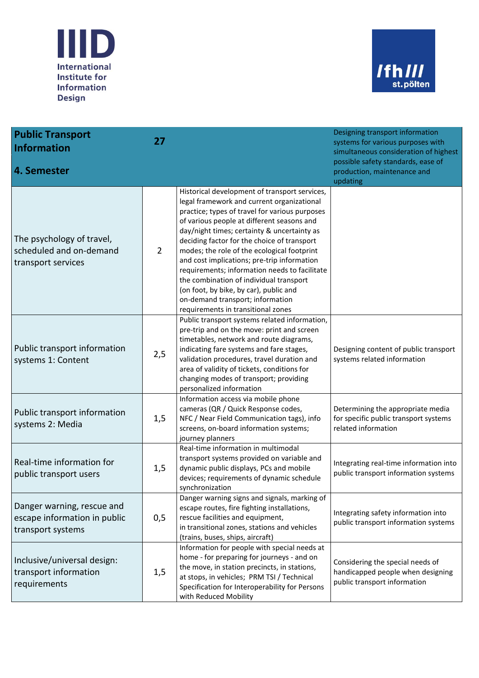



| <b>Public Transport</b><br><b>Information</b>                                   | 27             |                                                                                                                                                                                                                                                                                                                                                                                                                                                                                                                                                                                                         | Designing transport information<br>systems for various purposes with<br>simultaneous consideration of highest<br>possible safety standards, ease of |
|---------------------------------------------------------------------------------|----------------|---------------------------------------------------------------------------------------------------------------------------------------------------------------------------------------------------------------------------------------------------------------------------------------------------------------------------------------------------------------------------------------------------------------------------------------------------------------------------------------------------------------------------------------------------------------------------------------------------------|-----------------------------------------------------------------------------------------------------------------------------------------------------|
| 4. Semester                                                                     |                |                                                                                                                                                                                                                                                                                                                                                                                                                                                                                                                                                                                                         | production, maintenance and<br>updating                                                                                                             |
| The psychology of travel,<br>scheduled and on-demand<br>transport services      | $\overline{2}$ | Historical development of transport services,<br>legal framework and current organizational<br>practice; types of travel for various purposes<br>of various people at different seasons and<br>day/night times; certainty & uncertainty as<br>deciding factor for the choice of transport<br>modes; the role of the ecological footprint<br>and cost implications; pre-trip information<br>requirements; information needs to facilitate<br>the combination of individual transport<br>(on foot, by bike, by car), public and<br>on-demand transport; information<br>requirements in transitional zones |                                                                                                                                                     |
| Public transport information<br>systems 1: Content                              | 2,5            | Public transport systems related information,<br>pre-trip and on the move: print and screen<br>timetables, network and route diagrams,<br>indicating fare systems and fare stages,<br>validation procedures, travel duration and<br>area of validity of tickets, conditions for<br>changing modes of transport; providing<br>personalized information                                                                                                                                                                                                                                                   | Designing content of public transport<br>systems related information                                                                                |
| Public transport information<br>systems 2: Media                                | 1,5            | Information access via mobile phone<br>cameras (QR / Quick Response codes,<br>NFC / Near Field Communication tags), info<br>screens, on-board information systems;<br>journey planners                                                                                                                                                                                                                                                                                                                                                                                                                  | Determining the appropriate media<br>for specific public transport systems<br>related information                                                   |
| Real-time information for<br>public transport users                             | 1,5            | Real-time information in multimodal<br>transport systems provided on variable and<br>dynamic public displays, PCs and mobile<br>devices; requirements of dynamic schedule<br>synchronization                                                                                                                                                                                                                                                                                                                                                                                                            | Integrating real-time information into<br>public transport information systems                                                                      |
| Danger warning, rescue and<br>escape information in public<br>transport systems | 0,5            | Danger warning signs and signals, marking of<br>escape routes, fire fighting installations,<br>rescue facilities and equipment,<br>in transitional zones, stations and vehicles<br>(trains, buses, ships, aircraft)                                                                                                                                                                                                                                                                                                                                                                                     | Integrating safety information into<br>public transport information systems                                                                         |
| Inclusive/universal design:<br>transport information<br>requirements            | 1,5            | Information for people with special needs at<br>home - for preparing for journeys - and on<br>the move, in station precincts, in stations,<br>at stops, in vehicles; PRM TSI / Technical<br>Specification for Interoperability for Persons<br>with Reduced Mobility                                                                                                                                                                                                                                                                                                                                     | Considering the special needs of<br>handicapped people when designing<br>public transport information                                               |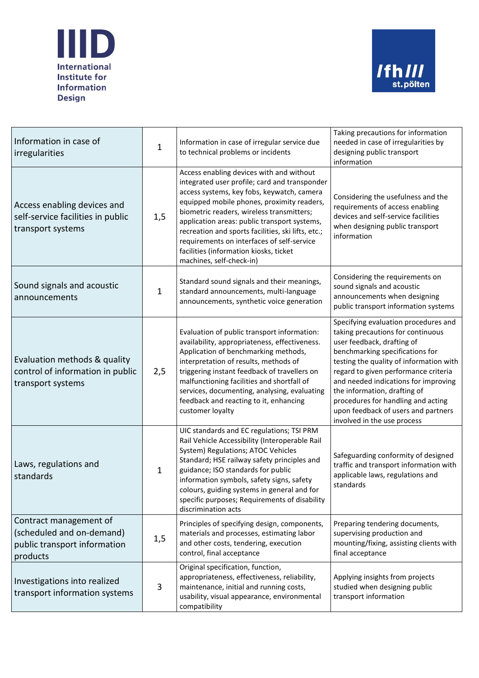



| Information in case of<br>irregularities                                                        | $\mathbf{1}$ | Information in case of irregular service due<br>to technical problems or incidents                                                                                                                                                                                                                                                                                                                                                                           | Taking precautions for information<br>needed in case of irregularities by<br>designing public transport<br>information                                                                                                                                                                                                                                                                                            |
|-------------------------------------------------------------------------------------------------|--------------|--------------------------------------------------------------------------------------------------------------------------------------------------------------------------------------------------------------------------------------------------------------------------------------------------------------------------------------------------------------------------------------------------------------------------------------------------------------|-------------------------------------------------------------------------------------------------------------------------------------------------------------------------------------------------------------------------------------------------------------------------------------------------------------------------------------------------------------------------------------------------------------------|
| Access enabling devices and<br>self-service facilities in public<br>transport systems           | 1,5          | Access enabling devices with and without<br>integrated user profile; card and transponder<br>access systems, key fobs, keywatch, camera<br>equipped mobile phones, proximity readers,<br>biometric readers, wireless transmitters;<br>application areas: public transport systems,<br>recreation and sports facilities, ski lifts, etc.;<br>requirements on interfaces of self-service<br>facilities (information kiosks, ticket<br>machines, self-check-in) | Considering the usefulness and the<br>requirements of access enabling<br>devices and self-service facilities<br>when designing public transport<br>information                                                                                                                                                                                                                                                    |
| Sound signals and acoustic<br>announcements                                                     | 1            | Standard sound signals and their meanings,<br>standard announcements, multi-language<br>announcements, synthetic voice generation                                                                                                                                                                                                                                                                                                                            | Considering the requirements on<br>sound signals and acoustic<br>announcements when designing<br>public transport information systems                                                                                                                                                                                                                                                                             |
| Evaluation methods & quality<br>control of information in public<br>transport systems           | 2,5          | Evaluation of public transport information:<br>availability, appropriateness, effectiveness.<br>Application of benchmarking methods,<br>interpretation of results, methods of<br>triggering instant feedback of travellers on<br>malfunctioning facilities and shortfall of<br>services, documenting, analysing, evaluating<br>feedback and reacting to it, enhancing<br>customer loyalty                                                                    | Specifying evaluation procedures and<br>taking precautions for continuous<br>user feedback, drafting of<br>benchmarking specifications for<br>testing the quality of information with<br>regard to given performance criteria<br>and needed indications for improving<br>the information, drafting of<br>procedures for handling and acting<br>upon feedback of users and partners<br>involved in the use process |
| Laws, regulations and<br>standards                                                              | 1            | UIC standards and EC regulations; TSI PRM<br>Rail Vehicle Accessibility (Interoperable Rail<br>System) Regulations; ATOC Vehicles<br>Standard; HSE railway safety principles and<br>guidance; ISO standards for public<br>information symbols, safety signs, safety<br>colours, guiding systems in general and for<br>specific purposes; Requirements of disability<br>discrimination acts                                                                   | Safeguarding conformity of designed<br>traffic and transport information with<br>applicable laws, regulations and<br>standards                                                                                                                                                                                                                                                                                    |
| Contract management of<br>(scheduled and on-demand)<br>public transport information<br>products | 1,5          | Principles of specifying design, components,<br>materials and processes, estimating labor<br>and other costs, tendering, execution<br>control, final acceptance                                                                                                                                                                                                                                                                                              | Preparing tendering documents,<br>supervising production and<br>mounting/fixing, assisting clients with<br>final acceptance                                                                                                                                                                                                                                                                                       |
| Investigations into realized<br>transport information systems                                   | 3            | Original specification, function,<br>appropriateness, effectiveness, reliability,<br>maintenance, initial and running costs,<br>usability, visual appearance, environmental<br>compatibility                                                                                                                                                                                                                                                                 | Applying insights from projects<br>studied when designing public<br>transport information                                                                                                                                                                                                                                                                                                                         |